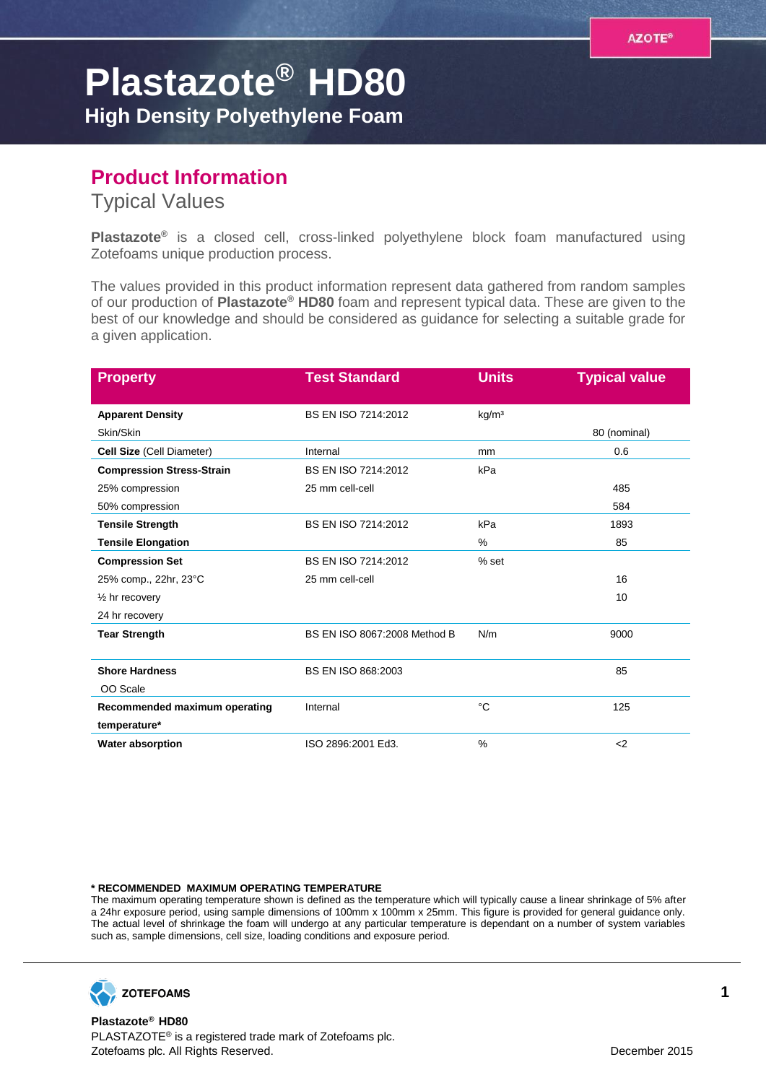## **Plastazote® HD80**

**High Density Polyethylene Foam**

## **Product Information**

Typical Values

**Plastazote®** is a closed cell, cross-linked polyethylene block foam manufactured using Zotefoams unique production process.

The values provided in this product information represent data gathered from random samples of our production of **Plastazote® HD80** foam and represent typical data. These are given to the best of our knowledge and should be considered as guidance for selecting a suitable grade for a given application.

| <b>Property</b>                  | <b>Test Standard</b>         | <b>Units</b>      | <b>Typical value</b> |
|----------------------------------|------------------------------|-------------------|----------------------|
| <b>Apparent Density</b>          | BS EN ISO 7214:2012          | kg/m <sup>3</sup> |                      |
| Skin/Skin                        |                              |                   | 80 (nominal)         |
| Cell Size (Cell Diameter)        | Internal                     | mm                | 0.6                  |
| <b>Compression Stress-Strain</b> | BS EN ISO 7214:2012          | kPa               |                      |
| 25% compression                  | 25 mm cell-cell              |                   | 485                  |
| 50% compression                  |                              |                   | 584                  |
| <b>Tensile Strength</b>          | BS EN ISO 7214:2012          | kPa               | 1893                 |
| <b>Tensile Elongation</b>        |                              | %                 | 85                   |
| <b>Compression Set</b>           | BS EN ISO 7214:2012          | $%$ set           |                      |
| 25% comp., 22hr, 23°C            | 25 mm cell-cell              |                   | 16                   |
| $\frac{1}{2}$ hr recovery        |                              |                   | 10                   |
| 24 hr recovery                   |                              |                   |                      |
| <b>Tear Strength</b>             | BS EN ISO 8067:2008 Method B | N/m               | 9000                 |
| <b>Shore Hardness</b>            | BS EN ISO 868:2003           |                   | 85                   |
| OO Scale                         |                              |                   |                      |
| Recommended maximum operating    | Internal                     | °C                | 125                  |
| temperature*                     |                              |                   |                      |
| <b>Water absorption</b>          | ISO 2896:2001 Ed3.           | $\%$              | $\leq$               |

## **\* RECOMMENDED MAXIMUM OPERATING TEMPERATURE**

The maximum operating temperature shown is defined as the temperature which will typically cause a linear shrinkage of 5% after a 24hr exposure period, using sample dimensions of 100mm x 100mm x 25mm. This figure is provided for general guidance only. The actual level of shrinkage the foam will undergo at any particular temperature is dependant on a number of system variables such as, sample dimensions, cell size, loading conditions and exposure period.



**Plastazote® HD80** PLASTAZOTE® is a registered trade mark of Zotefoams plc. Zotefoams plc. All Rights Reserved. December 2015